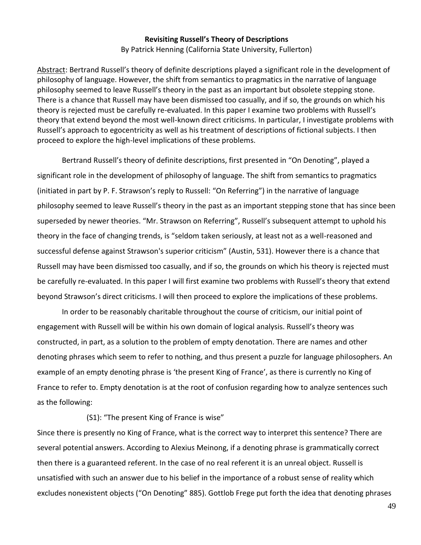## **Revisiting Russell's Theory of Descriptions**

By Patrick Henning (California State University, Fullerton)

Abstract: Bertrand Russell's theory of definite descriptions played a significant role in the development of philosophy of language. However, the shift from semantics to pragmatics in the narrative of language philosophy seemed to leave Russell's theory in the past as an important but obsolete stepping stone. There is a chance that Russell may have been dismissed too casually, and if so, the grounds on which his theory is rejected must be carefully re-evaluated. In this paper I examine two problems with Russell's theory that extend beyond the most well-known direct criticisms. In particular, I investigate problems with Russell's approach to egocentricity as well as his treatment of descriptions of fictional subjects. I then proceed to explore the high-level implications of these problems.

Bertrand Russell's theory of definite descriptions, first presented in "On Denoting", played a significant role in the development of philosophy of language. The shift from semantics to pragmatics (initiated in part by P. F. Strawson's reply to Russell: "On Referring") in the narrative of language philosophy seemed to leave Russell's theory in the past as an important stepping stone that has since been superseded by newer theories. "Mr. Strawson on Referring", Russell's subsequent attempt to uphold his theory in the face of changing trends, is "seldom taken seriously, at least not as a well-reasoned and successful defense against Strawson's superior criticism" (Austin, 531). However there is a chance that Russell may have been dismissed too casually, and if so, the grounds on which his theory is rejected must be carefully re-evaluated. In this paper I will first examine two problems with Russell's theory that extend beyond Strawson's direct criticisms. I will then proceed to explore the implications of these problems.

In order to be reasonably charitable throughout the course of criticism, our initial point of engagement with Russell will be within his own domain of logical analysis. Russell's theory was constructed, in part, as a solution to the problem of empty denotation. There are names and other denoting phrases which seem to refer to nothing, and thus present a puzzle for language philosophers. An example of an empty denoting phrase is 'the present King of France', as there is currently no King of France to refer to. Empty denotation is at the root of confusion regarding how to analyze sentences such as the following:

(S1): "The present King of France is wise"

Since there is presently no King of France, what is the correct way to interpret this sentence? There are several potential answers. According to Alexius Meinong, if a denoting phrase is grammatically correct then there is a guaranteed referent. In the case of no real referent it is an unreal object. Russell is unsatisfied with such an answer due to his belief in the importance of a robust sense of reality which excludes nonexistent objects ("On Denoting" 885). Gottlob Frege put forth the idea that denoting phrases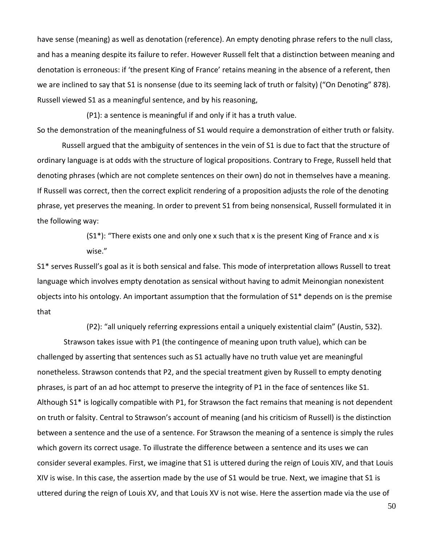have sense (meaning) as well as denotation (reference). An empty denoting phrase refers to the null class, and has a meaning despite its failure to refer. However Russell felt that a distinction between meaning and denotation is erroneous: if 'the present King of France' retains meaning in the absence of a referent, then we are inclined to say that S1 is nonsense (due to its seeming lack of truth or falsity) ("On Denoting" 878). Russell viewed S1 as a meaningful sentence, and by his reasoning,

(P1): a sentence is meaningful if and only if it has a truth value.

So the demonstration of the meaningfulness of S1 would require a demonstration of either truth or falsity.

Russell argued that the ambiguity of sentences in the vein of S1 is due to fact that the structure of ordinary language is at odds with the structure of logical propositions. Contrary to Frege, Russell held that denoting phrases (which are not complete sentences on their own) do not in themselves have a meaning. If Russell was correct, then the correct explicit rendering of a proposition adjusts the role of the denoting phrase, yet preserves the meaning. In order to prevent S1 from being nonsensical, Russell formulated it in the following way:

> $(S1<sup>*</sup>)$ : "There exists one and only one x such that x is the present King of France and x is wise."

S1\* serves Russell's goal as it is both sensical and false. This mode of interpretation allows Russell to treat language which involves empty denotation as sensical without having to admit Meinongian nonexistent objects into his ontology. An important assumption that the formulation of S1\* depends on is the premise that

(P2): "all uniquely referring expressions entail a uniquely existential claim" (Austin, 532).

Strawson takes issue with P1 (the contingence of meaning upon truth value), which can be challenged by asserting that sentences such as S1 actually have no truth value yet are meaningful nonetheless. Strawson contends that P2, and the special treatment given by Russell to empty denoting phrases, is part of an ad hoc attempt to preserve the integrity of P1 in the face of sentences like S1. Although S1\* is logically compatible with P1, for Strawson the fact remains that meaning is not dependent on truth or falsity. Central to Strawson's account of meaning (and his criticism of Russell) is the distinction between a sentence and the use of a sentence. For Strawson the meaning of a sentence is simply the rules which govern its correct usage. To illustrate the difference between a sentence and its uses we can consider several examples. First, we imagine that S1 is uttered during the reign of Louis XIV, and that Louis XIV is wise. In this case, the assertion made by the use of S1 would be true. Next, we imagine that S1 is uttered during the reign of Louis XV, and that Louis XV is not wise. Here the assertion made via the use of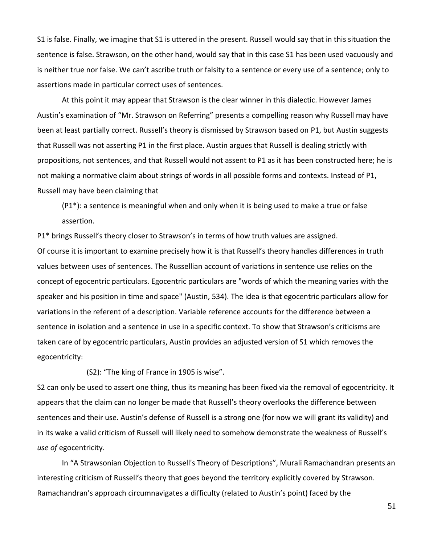S1 is false. Finally, we imagine that S1 is uttered in the present. Russell would say that in this situation the sentence is false. Strawson, on the other hand, would say that in this case S1 has been used vacuously and is neither true nor false. We can't ascribe truth or falsity to a sentence or every use of a sentence; only to assertions made in particular correct uses of sentences.

At this point it may appear that Strawson is the clear winner in this dialectic. However James Austin's examination of "Mr. Strawson on Referring" presents a compelling reason why Russell may have been at least partially correct. Russell's theory is dismissed by Strawson based on P1, but Austin suggests that Russell was not asserting P1 in the first place. Austin argues that Russell is dealing strictly with propositions, not sentences, and that Russell would not assent to P1 as it has been constructed here; he is not making a normative claim about strings of words in all possible forms and contexts. Instead of P1, Russell may have been claiming that

(P1\*): a sentence is meaningful when and only when it is being used to make a true or false assertion.

P1\* brings Russell's theory closer to Strawson's in terms of how truth values are assigned. Of course it is important to examine precisely how it is that Russell's theory handles differences in truth values between uses of sentences. The Russellian account of variations in sentence use relies on the concept of egocentric particulars. Egocentric particulars are "words of which the meaning varies with the speaker and his position in time and space" (Austin, 534). The idea is that egocentric particulars allow for variations in the referent of a description. Variable reference accounts for the difference between a sentence in isolation and a sentence in use in a specific context. To show that Strawson's criticisms are taken care of by egocentric particulars, Austin provides an adjusted version of S1 which removes the egocentricity:

(S2): "The king of France in 1905 is wise".

S2 can only be used to assert one thing, thus its meaning has been fixed via the removal of egocentricity. It appears that the claim can no longer be made that Russell's theory overlooks the difference between sentences and their use. Austin's defense of Russell is a strong one (for now we will grant its validity) and in its wake a valid criticism of Russell will likely need to somehow demonstrate the weakness of Russell's *use of* egocentricity.

In "A Strawsonian Objection to Russell's Theory of Descriptions", Murali Ramachandran presents an interesting criticism of Russell's theory that goes beyond the territory explicitly covered by Strawson. Ramachandran's approach circumnavigates a difficulty (related to Austin's point) faced by the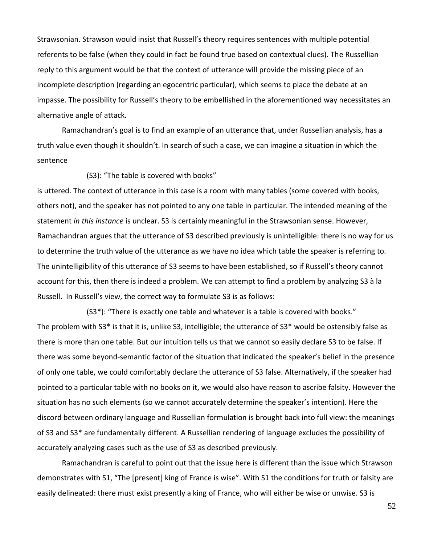Strawsonian. Strawson would insist that Russell's theory requires sentences with multiple potential referents to be false (when they could in fact be found true based on contextual clues). The Russellian reply to this argument would be that the context of utterance will provide the missing piece of an incomplete description (regarding an egocentric particular), which seems to place the debate at an impasse. The possibility for Russell's theory to be embellished in the aforementioned way necessitates an alternative angle of attack.

Ramachandran's goal is to find an example of an utterance that, under Russellian analysis, has a truth value even though it shouldn't. In search of such a case, we can imagine a situation in which the sentence

(S3): "The table is covered with books"

is uttered. The context of utterance in this case is a room with many tables (some covered with books, others not), and the speaker has not pointed to any one table in particular. The intended meaning of the statement *in this instance* is unclear. S3 is certainly meaningful in the Strawsonian sense. However, Ramachandran argues that the utterance of S3 described previously is unintelligible: there is no way for us to determine the truth value of the utterance as we have no idea which table the speaker is referring to. The unintelligibility of this utterance of S3 seems to have been established, so if Russell's theory cannot account for this, then there is indeed a problem. We can attempt to find a problem by analyzing S3 à la Russell. In Russell's view, the correct way to formulate S3 is as follows:

(S3\*): "There is exactly one table and whatever is a table is covered with books." The problem with S3\* is that it is, unlike S3, intelligible; the utterance of S3\* would be ostensibly false as there is more than one table. But our intuition tells us that we cannot so easily declare S3 to be false. If there was some beyond-semantic factor of the situation that indicated the speaker's belief in the presence of only one table, we could comfortably declare the utterance of S3 false. Alternatively, if the speaker had pointed to a particular table with no books on it, we would also have reason to ascribe falsity. However the situation has no such elements (so we cannot accurately determine the speaker's intention). Here the discord between ordinary language and Russellian formulation is brought back into full view: the meanings of S3 and S3\* are fundamentally different. A Russellian rendering of language excludes the possibility of accurately analyzing cases such as the use of S3 as described previously.

Ramachandran is careful to point out that the issue here is different than the issue which Strawson demonstrates with S1, "The [present] king of France is wise". With S1 the conditions for truth or falsity are easily delineated: there must exist presently a king of France, who will either be wise or unwise. S3 is

52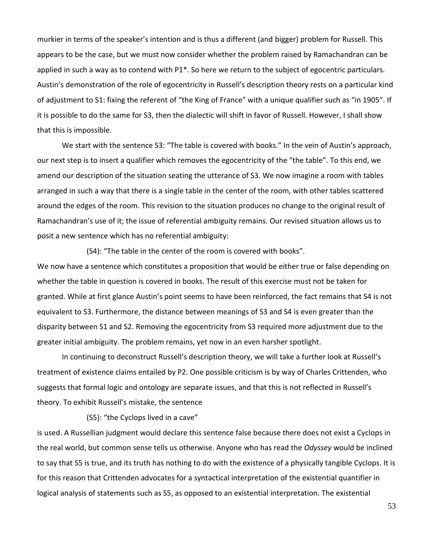murkier in terms of the speaker's intention and is thus a different (and bigger) problem for Russell. This appears to be the case, but we must now consider whether the problem raised by Ramachandran can be applied in such a way as to contend with P1\*. So here we return to the subject of egocentric particulars. Austin's demonstration of the role of egocentricity in Russell's description theory rests on a particular kind of adjustment to S1: fixing the referent of "the King of France" with a unique qualifier such as "in 1905". If it is possible to do the same for S3, then the dialectic will shift in favor of Russell. However, I shall show that this is impossible.

We start with the sentence S3: "The table is covered with books." In the vein of Austin's approach, our next step is to insert a qualifier which removes the egocentricity of the "the table". To this end, we amend our description of the situation seating the utterance of S3. We now imagine a room with tables arranged in such a way that there is a single table in the center of the room, with other tables scattered around the edges of the room. This revision to the situation produces no change to the original result of Ramachandran's use of it; the issue of referential ambiguity remains. Our revised situation allows us to posit a new sentence which has no referential ambiguity:

(S4): "The table in the center of the room is covered with books".

We now have a sentence which constitutes a proposition that would be either true or false depending on whether the table in question is covered in books. The result of this exercise must not be taken for granted. While at first glance Austin's point seems to have been reinforced, the fact remains that S4 is not equivalent to S3. Furthermore, the distance between meanings of S3 and S4 is even greater than the disparity between S1 and S2. Removing the egocentricity from S3 required more adjustment due to the greater initial ambiguity. The problem remains, yet now in an even harsher spotlight.

In continuing to deconstruct Russell's description theory, we will take a further look at Russell's treatment of existence claims entailed by P2. One possible criticism is by way of Charles Crittenden, who suggests that formal logic and ontology are separate issues, and that this is not reflected in Russell's theory. To exhibit Russell's mistake, the sentence

(S5): "the Cyclops lived in a cave"

is used. A Russellian judgment would declare this sentence false because there does not exist a Cyclops in the real world, but common sense tells us otherwise. Anyone who has read the *Odyssey* would be inclined to say that S5 is true, and its truth has nothing to do with the existence of a physically tangible Cyclops. It is for this reason that Crittenden advocates for a syntactical interpretation of the existential quantifier in logical analysis of statements such as S5, as opposed to an existential interpretation. The existential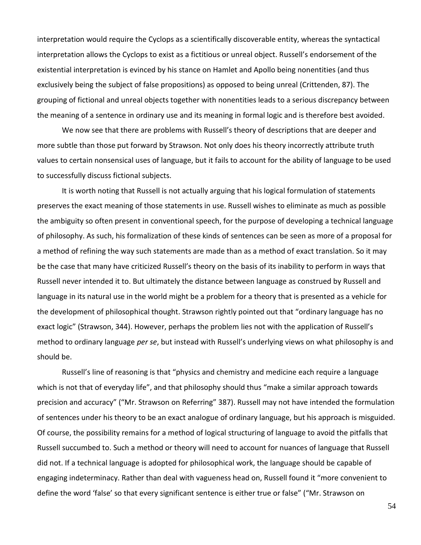interpretation would require the Cyclops as a scientifically discoverable entity, whereas the syntactical interpretation allows the Cyclops to exist as a fictitious or unreal object. Russell's endorsement of the existential interpretation is evinced by his stance on Hamlet and Apollo being nonentities (and thus exclusively being the subject of false propositions) as opposed to being unreal (Crittenden, 87). The grouping of fictional and unreal objects together with nonentities leads to a serious discrepancy between the meaning of a sentence in ordinary use and its meaning in formal logic and is therefore best avoided.

We now see that there are problems with Russell's theory of descriptions that are deeper and more subtle than those put forward by Strawson. Not only does his theory incorrectly attribute truth values to certain nonsensical uses of language, but it fails to account for the ability of language to be used to successfully discuss fictional subjects.

It is worth noting that Russell is not actually arguing that his logical formulation of statements preserves the exact meaning of those statements in use. Russell wishes to eliminate as much as possible the ambiguity so often present in conventional speech, for the purpose of developing a technical language of philosophy. As such, his formalization of these kinds of sentences can be seen as more of a proposal for a method of refining the way such statements are made than as a method of exact translation. So it may be the case that many have criticized Russell's theory on the basis of its inability to perform in ways that Russell never intended it to. But ultimately the distance between language as construed by Russell and language in its natural use in the world might be a problem for a theory that is presented as a vehicle for the development of philosophical thought. Strawson rightly pointed out that "ordinary language has no exact logic" (Strawson, 344). However, perhaps the problem lies not with the application of Russell's method to ordinary language *per se*, but instead with Russell's underlying views on what philosophy is and should be.

Russell's line of reasoning is that "physics and chemistry and medicine each require a language which is not that of everyday life", and that philosophy should thus "make a similar approach towards precision and accuracy" ("Mr. Strawson on Referring" 387). Russell may not have intended the formulation of sentences under his theory to be an exact analogue of ordinary language, but his approach is misguided. Of course, the possibility remains for a method of logical structuring of language to avoid the pitfalls that Russell succumbed to. Such a method or theory will need to account for nuances of language that Russell did not. If a technical language is adopted for philosophical work, the language should be capable of engaging indeterminacy. Rather than deal with vagueness head on, Russell found it "more convenient to define the word 'false' so that every significant sentence is either true or false" ("Mr. Strawson on

54